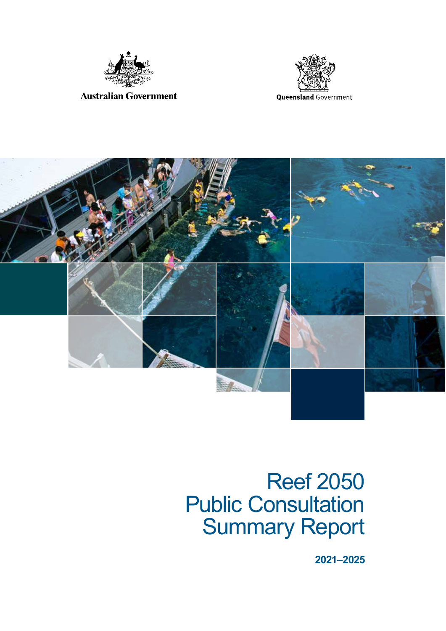

**Australian Government** 





# Reef 2050 Public Consultation Summary Report

**2021–2025**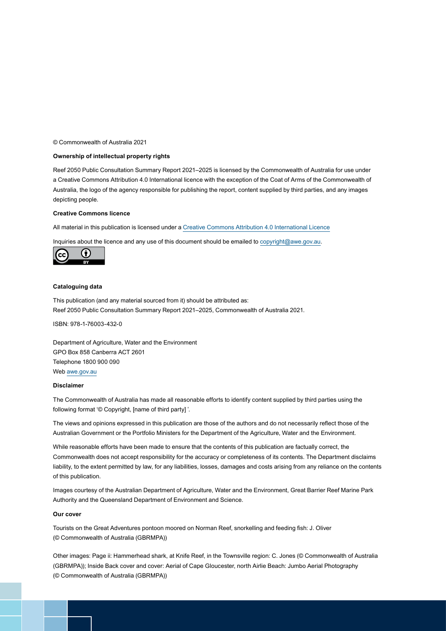#### © Commonwealth of Australia 2021

#### **Ownership of intellectual property rights**

Reef 2050 Public Consultation Summary Report 2021–2025 is licensed by the Commonwealth of Australia for use under a Creative Commons Attribution 4.0 International licence with the exception of the Coat of Arms of the Commonwealth of Australia, the logo of the agency responsible for publishing the report, content supplied by third parties, and any images depicting people.

#### **Creative Commons licence**

All material in this publication is licensed under a [Creative Commons Attribution 4.0 International Licence](https://creativecommons.org/licenses/by/4.0/legalcode)

Inquiries about the licence and any use of this document should be emailed to [copyright@awe.gov.au.](mailto:copyright@awe.gov.au)



#### **Cataloguing data**

This publication (and any material sourced from it) should be attributed as: Reef 2050 Public Consultation Summary Report 2021–2025, Commonwealth of Australia 2021.

ISBN: 978-1-76003-432-0

Department of Agriculture, Water and the Environment GPO Box 858 Canberra ACT 2601 Telephone 1800 900 090 Web [awe.gov.au](https://www.awe.gov.au/)

#### **Disclaimer**

The Commonwealth of Australia has made all reasonable efforts to identify content supplied by third parties using the following format '© Copyright, [name of third party] '.

The views and opinions expressed in this publication are those of the authors and do not necessarily reflect those of the Australian Government or the Portfolio Ministers for the Department of the Agriculture, Water and the Environment.

While reasonable efforts have been made to ensure that the contents of this publication are factually correct, the Commonwealth does not accept responsibility for the accuracy or completeness of its contents. The Department disclaims liability, to the extent permitted by law, for any liabilities, losses, damages and costs arising from any reliance on the contents of this publication.

Images courtesy of the Australian Department of Agriculture, Water and the Environment, Great Barrier Reef Marine Park Authority and the Queensland Department of Environment and Science.

#### **Our cover**

Tourists on the Great Adventures pontoon moored on Norman Reef, snorkelling and feeding fish: J. Oliver (© Commonwealth of Australia (GBRMPA))

Other images: Page ii: Hammerhead shark, at Knife Reef, in the Townsville region: C. Jones (© Commonwealth of Australia (GBRMPA)); Inside Back cover and cover: Aerial of Cape Gloucester, north Airlie Beach: Jumbo Aerial Photography (© Commonwealth of Australia (GBRMPA))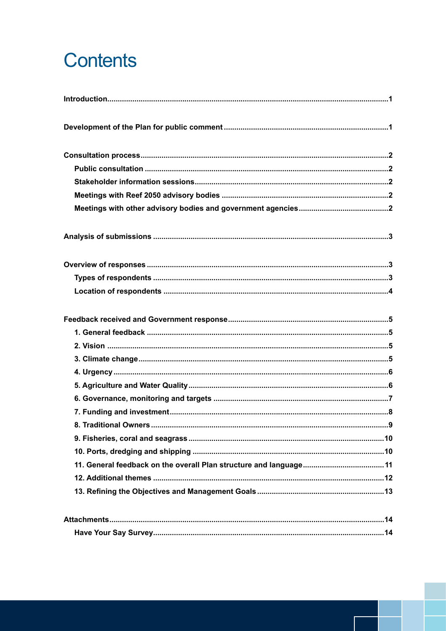# **Contents**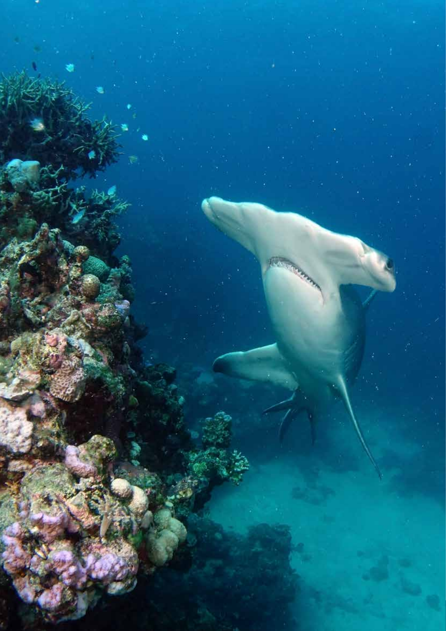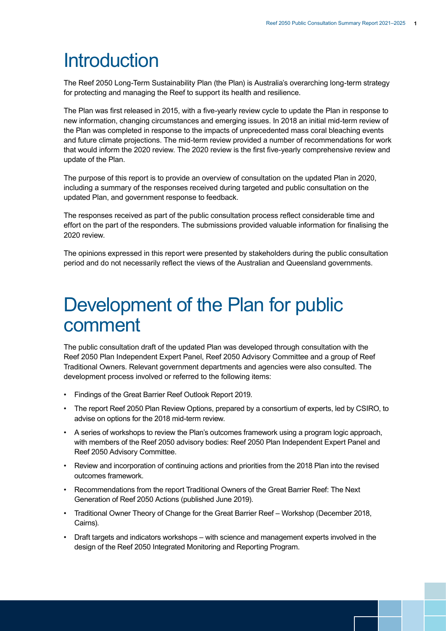# <span id="page-4-0"></span>**Introduction**

The Reef 2050 Long-Term Sustainability Plan (the Plan) is Australia's overarching long-term strategy for protecting and managing the Reef to support its health and resilience.

The Plan was first released in 2015, with a five-yearly review cycle to update the Plan in response to new information, changing circumstances and emerging issues. In 2018 an initial mid-term review of the Plan was completed in response to the impacts of unprecedented mass coral bleaching events and future climate projections. The mid-term review provided a number of recommendations for work that would inform the 2020 review. The 2020 review is the first five-yearly comprehensive review and update of the Plan.

The purpose of this report is to provide an overview of consultation on the updated Plan in 2020, including a summary of the responses received during targeted and public consultation on the updated Plan, and government response to feedback.

The responses received as part of the public consultation process reflect considerable time and effort on the part of the responders. The submissions provided valuable information for finalising the 2020 review.

The opinions expressed in this report were presented by stakeholders during the public consultation period and do not necessarily reflect the views of the Australian and Queensland governments.

## Development of the Plan for public comment

The public consultation draft of the updated Plan was developed through consultation with the Reef 2050 Plan Independent Expert Panel, Reef 2050 Advisory Committee and a group of Reef Traditional Owners. Relevant government departments and agencies were also consulted. The development process involved or referred to the following items:

- Findings of the [Great Barrier Reef Outlook Report 2019](http://elibrary.gbrmpa.gov.au/jspui/handle/11017/3474).
- The report [Reef 2050 Plan Review Options,](https://www.environment.gov.au/marine/gbr/publications/reef-2050-plan-review-options-final-report) prepared by a consortium of experts, led by CSIRO, to advise on options for the 2018 mid-term review.
- A series of workshops to review the Plan's outcomes framework using a program logic approach, with members of the Reef 2050 advisory bodies: Reef 2050 Plan Independent Expert Panel and Reef 2050 Advisory Committee.
- Review and incorporation of continuing actions and priorities from the 2018 Plan into the revised outcomes framework.
- Recommendations from the report [Traditional Owners of the Great Barrier Reef: The Next](https://www.environment.gov.au/marine/gbr/publications/reef-2050-traditional-owners-next-generation)  [Generation of Reef 2050 Actions](https://www.environment.gov.au/marine/gbr/publications/reef-2050-traditional-owners-next-generation) (published June 2019).
- Traditional Owner Theory of Change for the Great Barrier Reef Workshop (December 2018, Cairns).
- Draft targets and indicators workshops with science and management experts involved in the design of the Reef 2050 Integrated Monitoring and Reporting Program.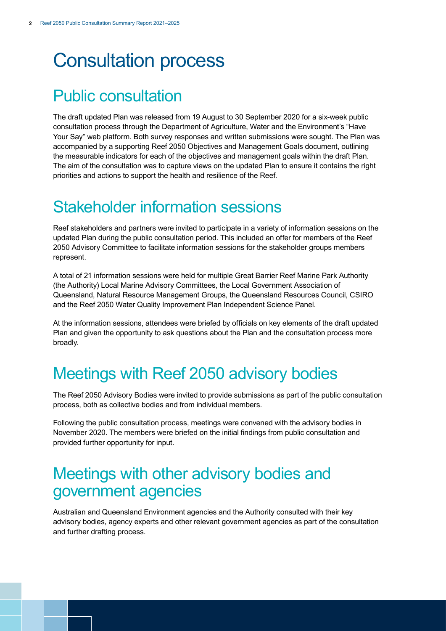# <span id="page-5-0"></span>Consultation process

## Public consultation

The draft updated Plan was released from 19 August to 30 September 2020 for a six-week public consultation process through the Department of Agriculture, Water and the Environment's "Have Your Say" web platform. Both survey responses and written submissions were sought. The Plan was accompanied by a supporting Reef 2050 Objectives and Management Goals document, outlining the measurable indicators for each of the objectives and management goals within the draft Plan. The aim of the consultation was to capture views on the updated Plan to ensure it contains the right priorities and actions to support the health and resilience of the Reef.

### Stakeholder information sessions

Reef stakeholders and partners were invited to participate in a variety of information sessions on the updated Plan during the public consultation period. This included an offer for members of the Reef 2050 Advisory Committee to facilitate information sessions for the stakeholder groups members represent.

A total of 21 information sessions were held for multiple Great Barrier Reef Marine Park Authority (the Authority) Local Marine Advisory Committees, the Local Government Association of Queensland, Natural Resource Management Groups, the Queensland Resources Council, CSIRO and the Reef 2050 Water Quality Improvement Plan Independent Science Panel.

At the information sessions, attendees were briefed by officials on key elements of the draft updated Plan and given the opportunity to ask questions about the Plan and the consultation process more broadly.

## Meetings with Reef 2050 advisory bodies

The Reef 2050 Advisory Bodies were invited to provide submissions as part of the public consultation process, both as collective bodies and from individual members.

Following the public consultation process, meetings were convened with the advisory bodies in November 2020. The members were briefed on the initial findings from public consultation and provided further opportunity for input.

### Meetings with other advisory bodies and government agencies

Australian and Queensland Environment agencies and the Authority consulted with their key advisory bodies, agency experts and other relevant government agencies as part of the consultation and further drafting process.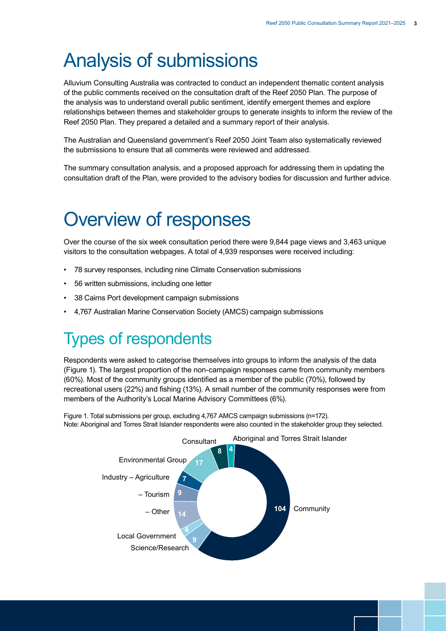## <span id="page-6-0"></span>Analysis of submissions

Alluvium Consulting Australia was contracted to conduct an independent thematic content analysis of the public comments received on the consultation draft of the Reef 2050 Plan. The purpose of the analysis was to understand overall public sentiment, identify emergent themes and explore relationships between themes and stakeholder groups to generate insights to inform the review of the Reef 2050 Plan. They prepared a detailed and a summary report of their analysis.

The Australian and Queensland government's Reef 2050 Joint Team also systematically reviewed the submissions to ensure that all comments were reviewed and addressed.

The summary consultation analysis, and a proposed approach for addressing them in updating the consultation draft of the Plan, were provided to the advisory bodies for discussion and further advice.

## Overview of responses

Over the course of the six week consultation period there were 9,844 page views and 3,463 unique visitors to the consultation webpages. A total of 4,939 responses were received including:

- 78 survey responses, including nine Climate Conservation submissions
- 56 written submissions, including one letter
- 38 Cairns Port development campaign submissions
- 4,767 Australian Marine Conservation Society (AMCS) campaign submissions

### Types of respondents

Respondents were asked to categorise themselves into groups to inform the analysis of the data (Figure 1). The largest proportion of the non-campaign responses came from community members (60%). Most of the community groups identified as a member of the public (70%), followed by recreational users (22%) and fishing (13%). A small number of the community responses were from members of the Authority's Local Marine Advisory Committees (6%).

Figure 1. Total submissions per group, excluding 4,767 AMCS campaign submissions (n=172). Note: Aboriginal and Torres Strait Islander respondents were also counted in the stakeholder group they selected.

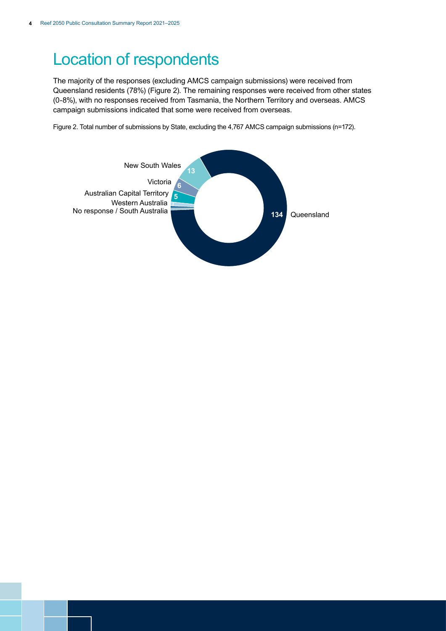## <span id="page-7-0"></span>Location of respondents

The majority of the responses (excluding AMCS campaign submissions) were received from Queensland residents (78%) (Figure 2). The remaining responses were received from other states (0-8%), with no responses received from Tasmania, the Northern Territory and overseas. AMCS campaign submissions indicated that some were received from overseas.

Figure 2. Total number of submissions by State, excluding the 4,767 AMCS campaign submissions (n=172).

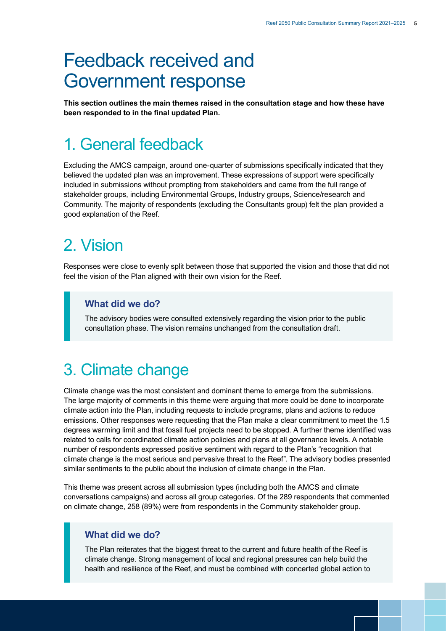## <span id="page-8-0"></span>Feedback received and Government response

**This section outlines the main themes raised in the consultation stage and how these have been responded to in the final updated Plan.**

### 1. General feedback

Excluding the AMCS campaign, around one-quarter of submissions specifically indicated that they believed the updated plan was an improvement. These expressions of support were specifically included in submissions without prompting from stakeholders and came from the full range of stakeholder groups, including Environmental Groups, Industry groups, Science/research and Community. The majority of respondents (excluding the Consultants group) felt the plan provided a good explanation of the Reef.

### 2. Vision

Responses were close to evenly split between those that supported the vision and those that did not feel the vision of the Plan aligned with their own vision for the Reef.

#### **What did we do?**

The advisory bodies were consulted extensively regarding the vision prior to the public consultation phase. The vision remains unchanged from the consultation draft.

### 3. Climate change

Climate change was the most consistent and dominant theme to emerge from the submissions. The large majority of comments in this theme were arguing that more could be done to incorporate climate action into the Plan, including requests to include programs, plans and actions to reduce emissions. Other responses were requesting that the Plan make a clear commitment to meet the 1.5 degrees warming limit and that fossil fuel projects need to be stopped. A further theme identified was related to calls for coordinated climate action policies and plans at all governance levels. A notable number of respondents expressed positive sentiment with regard to the Plan's "recognition that climate change is the most serious and pervasive threat to the Reef". The advisory bodies presented similar sentiments to the public about the inclusion of climate change in the Plan.

This theme was present across all submission types (including both the AMCS and climate conversations campaigns) and across all group categories. Of the 289 respondents that commented on climate change, 258 (89%) were from respondents in the Community stakeholder group.

#### **What did we do?**

The Plan reiterates that the biggest threat to the current and future health of the Reef is climate change. Strong management of local and regional pressures can help build the health and resilience of the Reef, and must be combined with concerted global action to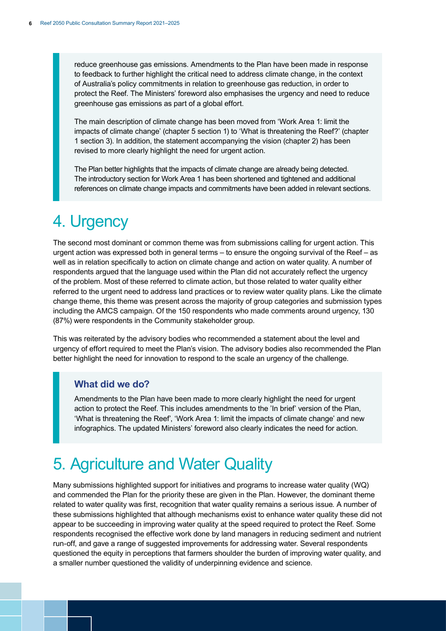<span id="page-9-0"></span>reduce greenhouse gas emissions. Amendments to the Plan have been made in response to feedback to further highlight the critical need to address climate change, in the context of Australia's policy commitments in relation to greenhouse gas reduction, in order to protect the Reef. The Ministers' foreword also emphasises the urgency and need to reduce greenhouse gas emissions as part of a global effort.

The main description of climate change has been moved from 'Work Area 1: limit the impacts of climate change' (chapter 5 section 1) to 'What is threatening the Reef?' (chapter 1 section 3). In addition, the statement accompanying the vision (chapter 2) has been revised to more clearly highlight the need for urgent action.

The Plan better highlights that the impacts of climate change are already being detected. The introductory section for Work Area 1 has been shortened and tightened and additional references on climate change impacts and commitments have been added in relevant sections.

### 4. Urgency

The second most dominant or common theme was from submissions calling for urgent action. This urgent action was expressed both in general terms – to ensure the ongoing survival of the Reef – as well as in relation specifically to action on climate change and action on water quality. A number of respondents argued that the language used within the Plan did not accurately reflect the urgency of the problem. Most of these referred to climate action, but those related to water quality either referred to the urgent need to address land practices or to review water quality plans. Like the climate change theme, this theme was present across the majority of group categories and submission types including the AMCS campaign. Of the 150 respondents who made comments around urgency, 130 (87%) were respondents in the Community stakeholder group.

This was reiterated by the advisory bodies who recommended a statement about the level and urgency of effort required to meet the Plan's vision. The advisory bodies also recommended the Plan better highlight the need for innovation to respond to the scale an urgency of the challenge.

#### **What did we do?**

Amendments to the Plan have been made to more clearly highlight the need for urgent action to protect the Reef. This includes amendments to the 'In brief' version of the Plan, 'What is threatening the Reef', 'Work Area 1: limit the impacts of climate change' and new infographics. The updated Ministers' foreword also clearly indicates the need for action.

### 5. Agriculture and Water Quality

Many submissions highlighted support for initiatives and programs to increase water quality (WQ) and commended the Plan for the priority these are given in the Plan. However, the dominant theme related to water quality was first, recognition that water quality remains a serious issue*.* A number of these submissions highlighted that although mechanisms exist to enhance water quality these did not appear to be succeeding in improving water quality at the speed required to protect the Reef*.* Some respondents recognised the effective work done by land managers in reducing sediment and nutrient run-off, and gave a range of suggested improvements for addressing water. Several respondents questioned the equity in perceptions that farmers shoulder the burden of improving water quality, and a smaller number questioned the validity of underpinning evidence and science.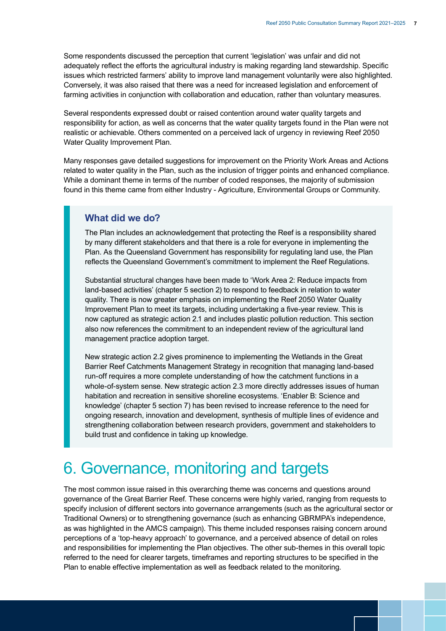<span id="page-10-0"></span>Some respondents discussed the perception that current 'legislation' was unfair and did not adequately reflect the efforts the agricultural industry is making regarding land stewardship. Specific issues which restricted farmers' ability to improve land management voluntarily were also highlighted. Conversely, it was also raised that there was a need for increased legislation and enforcement of farming activities in conjunction with collaboration and education, rather than voluntary measures.

Several respondents expressed doubt or raised contention around water quality targets and responsibility for action, as well as concerns that the water quality targets found in the Plan were not realistic or achievable. Others commented on a perceived lack of urgency in reviewing Reef 2050 Water Quality Improvement Plan.

Many responses gave detailed suggestions for improvement on the Priority Work Areas and Actions related to water quality in the Plan, such as the inclusion of trigger points and enhanced compliance. While a dominant theme in terms of the number of coded responses, the majority of submission found in this theme came from either Industry - Agriculture, Environmental Groups or Community.

#### **What did we do?**

The Plan includes an acknowledgement that protecting the Reef is a responsibility shared by many different stakeholders and that there is a role for everyone in implementing the Plan. As the Queensland Government has responsibility for regulating land use, the Plan reflects the Queensland Government's commitment to implement the Reef Regulations.

Substantial structural changes have been made to 'Work Area 2: Reduce impacts from land-based activities' (chapter 5 section 2) to respond to feedback in relation to water quality. There is now greater emphasis on implementing the Reef 2050 Water Quality Improvement Plan to meet its targets, including undertaking a five-year review. This is now captured as strategic action 2.1 and includes plastic pollution reduction. This section also now references the commitment to an independent review of the agricultural land management practice adoption target.

New strategic action 2.2 gives prominence to implementing the Wetlands in the Great Barrier Reef Catchments Management Strategy in recognition that managing land-based run-off requires a more complete understanding of how the catchment functions in a whole-of-system sense. New strategic action 2.3 more directly addresses issues of human habitation and recreation in sensitive shoreline ecosystems. 'Enabler B: Science and knowledge' (chapter 5 section 7) has been revised to increase reference to the need for ongoing research, innovation and development, synthesis of multiple lines of evidence and strengthening collaboration between research providers, government and stakeholders to build trust and confidence in taking up knowledge.

### 6. Governance, monitoring and targets

The most common issue raised in this overarching theme was concerns and questions around governance of the Great Barrier Reef. These concerns were highly varied, ranging from requests to specify inclusion of different sectors into governance arrangements (such as the agricultural sector or Traditional Owners) or to strengthening governance (such as enhancing GBRMPA's independence, as was highlighted in the AMCS campaign). This theme included responses raising concern around perceptions of a 'top-heavy approach' to governance, and a perceived absence of detail on roles and responsibilities for implementing the Plan objectives. The other sub-themes in this overall topic referred to the need for clearer targets, timeframes and reporting structures to be specified in the Plan to enable effective implementation as well as feedback related to the monitoring*.*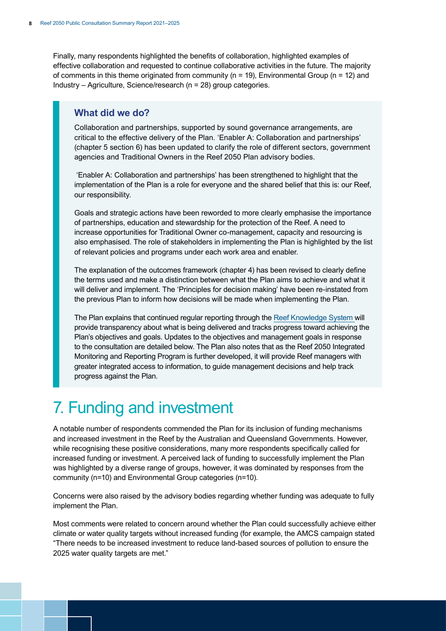<span id="page-11-0"></span>Finally, many respondents highlighted the benefits of collaboration, highlighted examples of effective collaboration and requested to continue collaborative activities in the future. The majority of comments in this theme originated from community ( $n = 19$ ), Environmental Group ( $n = 12$ ) and Industry – Agriculture, Science/research (n = 28) group categories.

#### **What did we do?**

Collaboration and partnerships, supported by sound governance arrangements, are critical to the effective delivery of the Plan. 'Enabler A: Collaboration and partnerships' (chapter 5 section 6) has been updated to clarify the role of different sectors, government agencies and Traditional Owners in the Reef 2050 Plan advisory bodies.

 'Enabler A: Collaboration and partnerships' has been strengthened to highlight that the implementation of the Plan is a role for everyone and the shared belief that this is: our Reef, our responsibility.

Goals and strategic actions have been reworded to more clearly emphasise the importance of partnerships, education and stewardship for the protection of the Reef. A need to increase opportunities for Traditional Owner co-management, capacity and resourcing is also emphasised. The role of stakeholders in implementing the Plan is highlighted by the list of relevant policies and programs under each work area and enabler.

The explanation of the outcomes framework (chapter 4) has been revised to clearly define the terms used and make a distinction between what the Plan aims to achieve and what it will deliver and implement. The 'Principles for decision making' have been re-instated from the previous Plan to inform how decisions will be made when implementing the Plan.

The Plan explains that continued regular reporting through the [Reef Knowledge System](https://reefiq.gbrmpa.gov.au/ReefKnowledgeSystem) will provide transparency about what is being delivered and tracks progress toward achieving the Plan's objectives and goals. Updates to the objectives and management goals in response to the consultation are detailed below. The Plan also notes that as the Reef 2050 Integrated Monitoring and Reporting Program is further developed, it will provide Reef managers with greater integrated access to information, to guide management decisions and help track progress against the Plan.

### 7. Funding and investment

A notable number of respondents commended the Plan for its inclusion of funding mechanisms and increased investment in the Reef by the Australian and Queensland Governments. However, while recognising these positive considerations, many more respondents specifically called for increased funding or investment. A perceived lack of funding to successfully implement the Plan was highlighted by a diverse range of groups, however, it was dominated by responses from the community (n=10) and Environmental Group categories (n=10).

Concerns were also raised by the advisory bodies regarding whether funding was adequate to fully implement the Plan.

Most comments were related to concern around whether the Plan could successfully achieve either climate or water quality targets without increased funding (for example, the AMCS campaign stated "There needs to be increased investment to reduce land-based sources of pollution to ensure the 2025 water quality targets are met."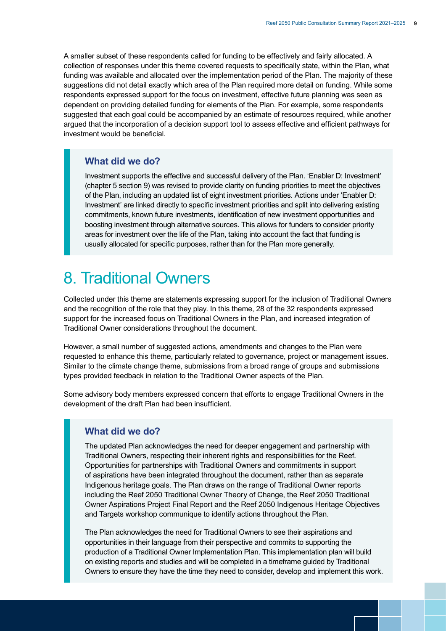<span id="page-12-0"></span>A smaller subset of these respondents called for funding to be effectively and fairly allocated. A collection of responses under this theme covered requests to specifically state, within the Plan, what funding was available and allocated over the implementation period of the Plan. The majority of these suggestions did not detail exactly which area of the Plan required more detail on funding. While some respondents expressed support for the focus on investment, effective future planning was seen as dependent on providing detailed funding for elements of the Plan. For example, some respondents suggested that each goal could be accompanied by an estimate of resources required, while another argued that the incorporation of a decision support tool to assess effective and efficient pathways for investment would be beneficial.

#### **What did we do?**

Investment supports the effective and successful delivery of the Plan. 'Enabler D: Investment' (chapter 5 section 9) was revised to provide clarity on funding priorities to meet the objectives of the Plan, including an updated list of eight investment priorities. Actions under 'Enabler D: Investment' are linked directly to specific investment priorities and split into delivering existing commitments, known future investments, identification of new investment opportunities and boosting investment through alternative sources. This allows for funders to consider priority areas for investment over the life of the Plan, taking into account the fact that funding is usually allocated for specific purposes, rather than for the Plan more generally.

### 8. Traditional Owners

Collected under this theme are statements expressing support for the inclusion of Traditional Owners and the recognition of the role that they play. In this theme, 28 of the 32 respondents expressed support for the increased focus on Traditional Owners in the Plan, and increased integration of Traditional Owner considerations throughout the document.

However, a small number of suggested actions, amendments and changes to the Plan were requested to enhance this theme, particularly related to governance, project or management issues. Similar to the climate change theme, submissions from a broad range of groups and submissions types provided feedback in relation to the Traditional Owner aspects of the Plan.

Some advisory body members expressed concern that efforts to engage Traditional Owners in the development of the draft Plan had been insufficient.

#### **What did we do?**

The updated Plan acknowledges the need for deeper engagement and partnership with Traditional Owners, respecting their inherent rights and responsibilities for the Reef. Opportunities for partnerships with Traditional Owners and commitments in support of aspirations have been integrated throughout the document, rather than as separate Indigenous heritage goals. The Plan draws on the range of Traditional Owner reports including the Reef 2050 Traditional Owner Theory of Change, the Reef 2050 Traditional Owner Aspirations Project Final Report and the Reef 2050 Indigenous Heritage Objectives and Targets workshop communique to identify actions throughout the Plan.

The Plan acknowledges the need for Traditional Owners to see their aspirations and opportunities in their language from their perspective and commits to supporting the production of a Traditional Owner Implementation Plan. This implementation plan will build on existing reports and studies and will be completed in a timeframe guided by Traditional Owners to ensure they have the time they need to consider, develop and implement this work.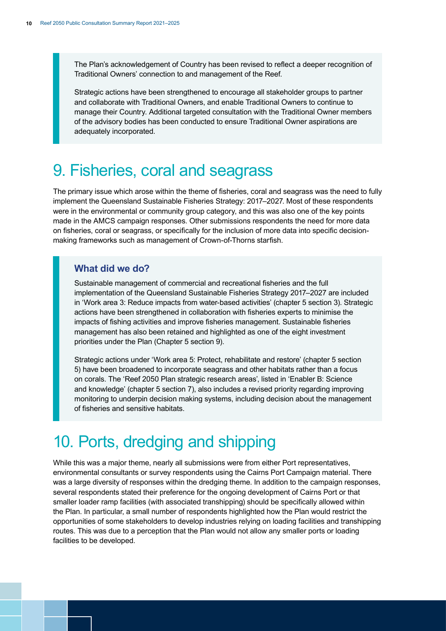<span id="page-13-0"></span>The Plan's acknowledgement of Country has been revised to reflect a deeper recognition of Traditional Owners' connection to and management of the Reef.

Strategic actions have been strengthened to encourage all stakeholder groups to partner and collaborate with Traditional Owners, and enable Traditional Owners to continue to manage their Country. Additional targeted consultation with the Traditional Owner members of the advisory bodies has been conducted to ensure Traditional Owner aspirations are adequately incorporated.

### 9. Fisheries, coral and seagrass

The primary issue which arose within the theme of fisheries, coral and seagrass was the need to fully implement the Queensland Sustainable Fisheries Strategy: 2017–2027. Most of these respondents were in the environmental or community group category, and this was also one of the key points made in the AMCS campaign responses. Other submissions respondents the need for more data on fisheries, coral or seagrass, or specifically for the inclusion of more data into specific decisionmaking frameworks such as management of Crown-of-Thorns starfish.

#### **What did we do?**

Sustainable management of commercial and recreational fisheries and the full implementation of the Queensland Sustainable Fisheries Strategy 2017–2027 are included in 'Work area 3: Reduce impacts from water-based activities' (chapter 5 section 3). Strategic actions have been strengthened in collaboration with fisheries experts to minimise the impacts of fishing activities and improve fisheries management. Sustainable fisheries management has also been retained and highlighted as one of the eight investment priorities under the Plan (Chapter 5 section 9).

Strategic actions under 'Work area 5: Protect, rehabilitate and restore' (chapter 5 section 5) have been broadened to incorporate seagrass and other habitats rather than a focus on corals. The 'Reef 2050 Plan strategic research areas', listed in 'Enabler B: Science and knowledge' (chapter 5 section 7), also includes a revised priority regarding improving monitoring to underpin decision making systems, including decision about the management of fisheries and sensitive habitats.

### 10. Ports, dredging and shipping

While this was a major theme, nearly all submissions were from either Port representatives, environmental consultants or survey respondents using the Cairns Port Campaign material. There was a large diversity of responses within the dredging theme. In addition to the campaign responses, several respondents stated their preference for the ongoing development of Cairns Port or that smaller loader ramp facilities (with associated transhipping) should be specifically allowed within the Plan. In particular, a small number of respondents highlighted how the Plan would restrict the opportunities of some stakeholders to develop industries relying on loading facilities and transhipping routes. This was due to a perception that the Plan would not allow any smaller ports or loading facilities to be developed.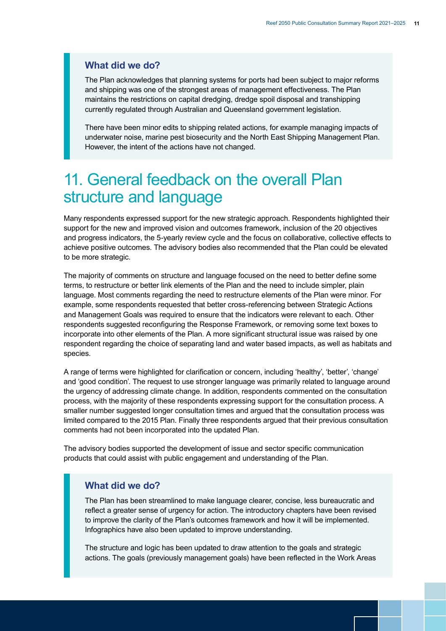#### <span id="page-14-0"></span>**What did we do?**

The Plan acknowledges that planning systems for ports had been subject to major reforms and shipping was one of the strongest areas of management effectiveness. The Plan maintains the restrictions on capital dredging, dredge spoil disposal and transhipping currently regulated through Australian and Queensland government legislation.

There have been minor edits to shipping related actions, for example managing impacts of underwater noise, marine pest biosecurity and the North East Shipping Management Plan. However, the intent of the actions have not changed.

### 11. General feedback on the overall Plan structure and language

Many respondents expressed support for the new strategic approach. Respondents highlighted their support for the new and improved vision and outcomes framework, inclusion of the 20 objectives and progress indicators, the 5-yearly review cycle and the focus on collaborative, collective effects to achieve positive outcomes. The advisory bodies also recommended that the Plan could be elevated to be more strategic.

The majority of comments on structure and language focused on the need to better define some terms, to restructure or better link elements of the Plan and the need to include simpler, plain language. Most comments regarding the need to restructure elements of the Plan were minor. For example, some respondents requested that better cross-referencing between Strategic Actions and Management Goals was required to ensure that the indicators were relevant to each. Other respondents suggested reconfiguring the Response Framework, or removing some text boxes to incorporate into other elements of the Plan. A more significant structural issue was raised by one respondent regarding the choice of separating land and water based impacts, as well as habitats and species.

A range of terms were highlighted for clarification or concern, including 'healthy', 'better', 'change' and 'good condition'. The request to use stronger language was primarily related to language around the urgency of addressing climate change. In addition, respondents commented on the consultation process, with the majority of these respondents expressing support for the consultation process. A smaller number suggested longer consultation times and argued that the consultation process was limited compared to the 2015 Plan. Finally three respondents argued that their previous consultation comments had not been incorporated into the updated Plan.

The advisory bodies supported the development of issue and sector specific communication products that could assist with public engagement and understanding of the Plan.

#### **What did we do?**

The Plan has been streamlined to make language clearer, concise, less bureaucratic and reflect a greater sense of urgency for action. The introductory chapters have been revised to improve the clarity of the Plan's outcomes framework and how it will be implemented. Infographics have also been updated to improve understanding.

The structure and logic has been updated to draw attention to the goals and strategic actions. The goals (previously management goals) have been reflected in the Work Areas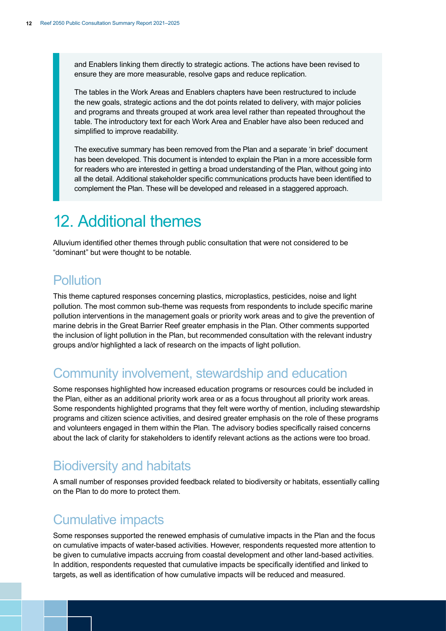<span id="page-15-0"></span>and Enablers linking them directly to strategic actions. The actions have been revised to ensure they are more measurable, resolve gaps and reduce replication.

The tables in the Work Areas and Enablers chapters have been restructured to include the new goals, strategic actions and the dot points related to delivery, with major policies and programs and threats grouped at work area level rather than repeated throughout the table. The introductory text for each Work Area and Enabler have also been reduced and simplified to improve readability.

The executive summary has been removed from the Plan and a separate 'in brief' document has been developed. This document is intended to explain the Plan in a more accessible form for readers who are interested in getting a broad understanding of the Plan, without going into all the detail. Additional stakeholder specific communications products have been identified to complement the Plan. These will be developed and released in a staggered approach.

### 12. Additional themes

Alluvium identified other themes through public consultation that were not considered to be "dominant" but were thought to be notable.

#### **Pollution**

This theme captured responses concerning plastics, microplastics, pesticides, noise and light pollution. The most common sub-theme was requests from respondents to include specific marine pollution interventions in the management goals or priority work areas and to give the prevention of marine debris in the Great Barrier Reef greater emphasis in the Plan. Other comments supported the inclusion of light pollution in the Plan, but recommended consultation with the relevant industry groups and/or highlighted a lack of research on the impacts of light pollution.

#### Community involvement, stewardship and education

Some responses highlighted how increased education programs or resources could be included in the Plan, either as an additional priority work area or as a focus throughout all priority work areas. Some respondents highlighted programs that they felt were worthy of mention, including stewardship programs and citizen science activities, and desired greater emphasis on the role of these programs and volunteers engaged in them within the Plan. The advisory bodies specifically raised concerns about the lack of clarity for stakeholders to identify relevant actions as the actions were too broad.

### Biodiversity and habitats

A small number of responses provided feedback related to biodiversity or habitats, essentially calling on the Plan to do more to protect them.

#### Cumulative impacts

Some responses supported the renewed emphasis of cumulative impacts in the Plan and the focus on cumulative impacts of water-based activities. However, respondents requested more attention to be given to cumulative impacts accruing from coastal development and other land-based activities. In addition, respondents requested that cumulative impacts be specifically identified and linked to targets, as well as identification of how cumulative impacts will be reduced and measured.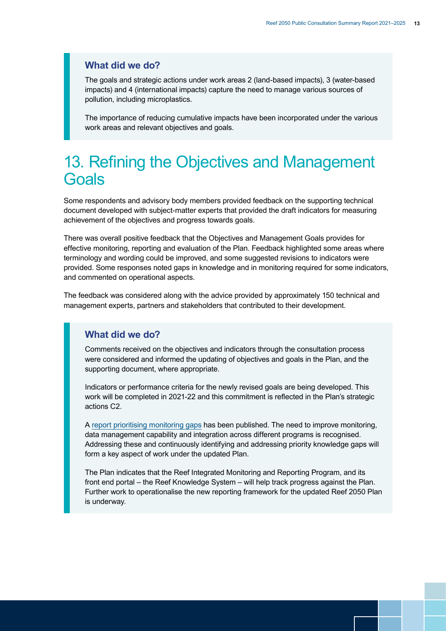#### <span id="page-16-0"></span>**What did we do?**

The goals and strategic actions under work areas 2 (land-based impacts), 3 (water-based impacts) and 4 (international impacts) capture the need to manage various sources of pollution, including microplastics.

The importance of reducing cumulative impacts have been incorporated under the various work areas and relevant objectives and goals.

### 13. Refining the Objectives and Management **Goals**

Some respondents and advisory body members provided feedback on the supporting technical document developed with subject-matter experts that provided the draft indicators for measuring achievement of the objectives and progress towards goals.

There was overall positive feedback that the Objectives and Management Goals provides for effective monitoring, reporting and evaluation of the Plan. Feedback highlighted some areas where terminology and wording could be improved, and some suggested revisions to indicators were provided. Some responses noted gaps in knowledge and in monitoring required for some indicators, and commented on operational aspects.

The feedback was considered along with the advice provided by approximately 150 technical and management experts, partners and stakeholders that contributed to their development.

#### **What did we do?**

Comments received on the objectives and indicators through the consultation process were considered and informed the updating of objectives and goals in the Plan, and the supporting document, where appropriate.

Indicators or performance criteria for the newly revised goals are being developed. This work will be completed in 2021-22 and this commitment is reflected in the Plan's strategic actions C2.

A [report prioritising monitoring gaps](https://hdl.handle.net/11017/3788) has been published. The need to improve monitoring, data management capability and integration across different programs is recognised. Addressing these and continuously identifying and addressing priority knowledge gaps will form a key aspect of work under the updated Plan.

The Plan indicates that the Reef Integrated Monitoring and Reporting Program, and its front end portal – the Reef Knowledge System – will help track progress against the Plan. Further work to operationalise the new reporting framework for the updated Reef 2050 Plan is underway.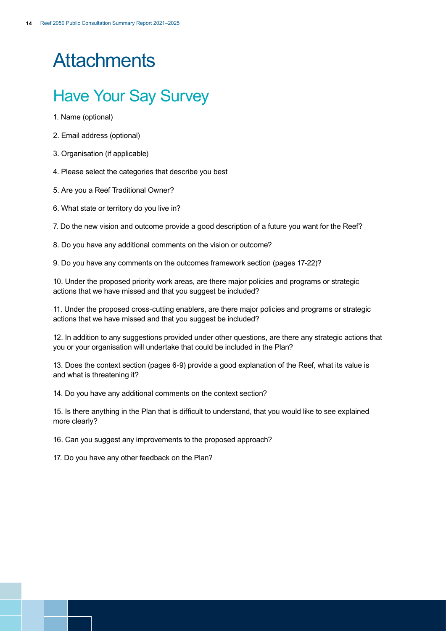# <span id="page-17-0"></span>**Attachments**

## Have Your Say Survey

- 1. Name (optional)
- 2. Email address (optional)
- 3. Organisation (if applicable)
- 4. Please select the categories that describe you best
- 5. Are you a Reef Traditional Owner?
- 6. What state or territory do you live in?

7. Do the new vision and outcome provide a good description of a future you want for the Reef?

8. Do you have any additional comments on the vision or outcome?

9. Do you have any comments on the outcomes framework section (pages 17-22)?

10. Under the proposed priority work areas, are there major policies and programs or strategic actions that we have missed and that you suggest be included?

11. Under the proposed cross-cutting enablers, are there major policies and programs or strategic actions that we have missed and that you suggest be included?

12. In addition to any suggestions provided under other questions, are there any strategic actions that you or your organisation will undertake that could be included in the Plan?

13. Does the context section (pages 6-9) provide a good explanation of the Reef, what its value is and what is threatening it?

14. Do you have any additional comments on the context section?

15. Is there anything in the Plan that is difficult to understand, that you would like to see explained more clearly?

16. Can you suggest any improvements to the proposed approach?

17. Do you have any other feedback on the Plan?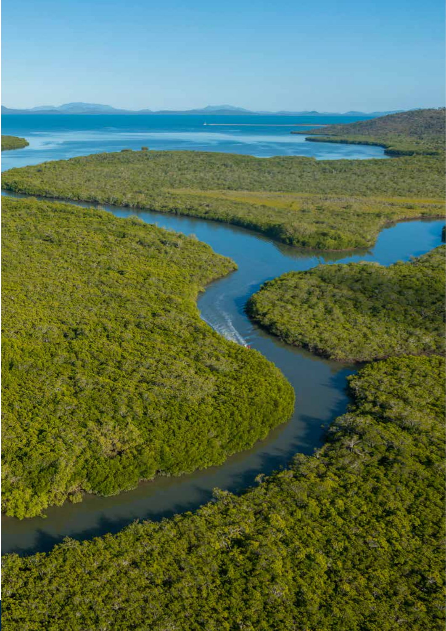